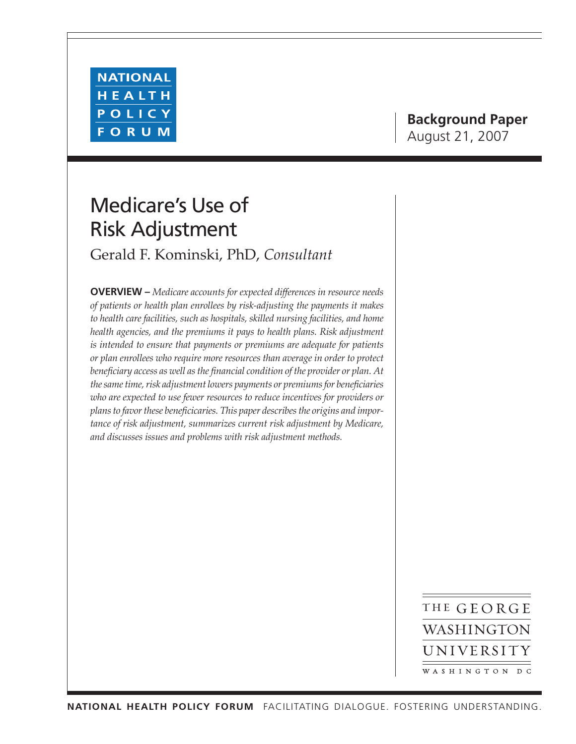

# **Background Paper** August 21, 2007

# Medicare's Use of Risk Adjustment

Gerald F. Kominski, PhD, *Consultant*

**OVERVIEW –** *Medicare accounts for expected differences in resource needs of patients or health plan enrollees by risk-adjusting the payments it makes to health care facilities, such as hospitals, skilled nursing facilities, and home health agencies, and the premiums it pays to health plans. Risk adjustment is intended to ensure that payments or premiums are adequate for patients or plan enrollees who require more resources than average in order to protect beneficiary access as well as the financial condition of the provider or plan. At the same time, risk adjustment lowers payments or premiums for beneficiaries*  who are expected to use fewer resources to reduce incentives for providers or *plans to favor these beneficicaries. This paper describes the origins and importance of risk adjustment, summarizes current risk adjustment by Medicare, and discusses issues and problems with risk adjustment methods.*

> THE GEORGE WASHINGTON UNIVERSITY WASHINGTON DC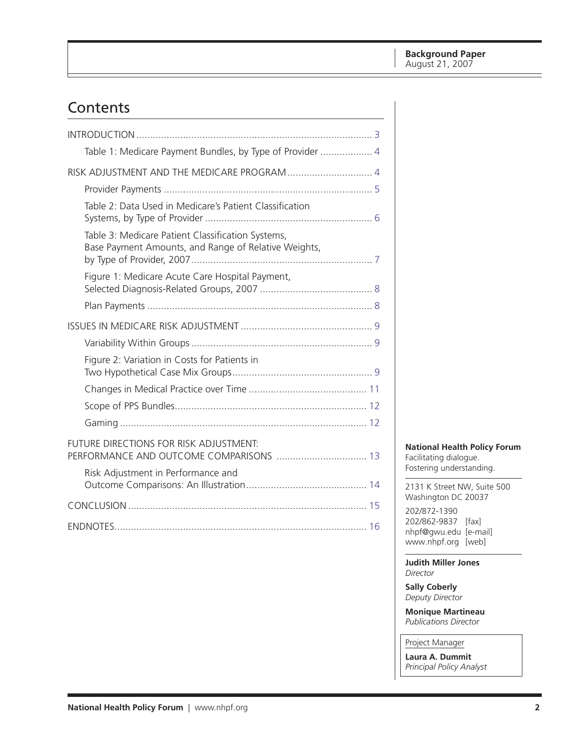# Contents

| Table 1: Medicare Payment Bundles, by Type of Provider  4                                                 |
|-----------------------------------------------------------------------------------------------------------|
| RISK ADJUSTMENT AND THE MEDICARE PROGRAM  4                                                               |
|                                                                                                           |
| Table 2: Data Used in Medicare's Patient Classification                                                   |
| Table 3: Medicare Patient Classification Systems,<br>Base Payment Amounts, and Range of Relative Weights, |
| Figure 1: Medicare Acute Care Hospital Payment,                                                           |
|                                                                                                           |
|                                                                                                           |
|                                                                                                           |
| Figure 2: Variation in Costs for Patients in                                                              |
|                                                                                                           |
|                                                                                                           |
|                                                                                                           |
| FUTURE DIRECTIONS FOR RISK ADJUSTMENT:<br>PERFORMANCE AND OUTCOME COMPARISONS  13                         |
| Risk Adjustment in Performance and                                                                        |
|                                                                                                           |
|                                                                                                           |

**National Health Policy Forum** Facilitating dialogue. Fostering understanding.

2131 K Street NW, Suite 500 Washington DC 20037

202/872-1390 202/862-9837 [fax] nhpf@gwu.edu [e-mail] www.nhpf.org [web]

**Judith Miller Jones** *Director*

**Sally Coberly** *Deputy Director*

**Monique Martineau** *Publications Director*

Project Manager

**Laura A. Dummit** *Principal Policy Analyst*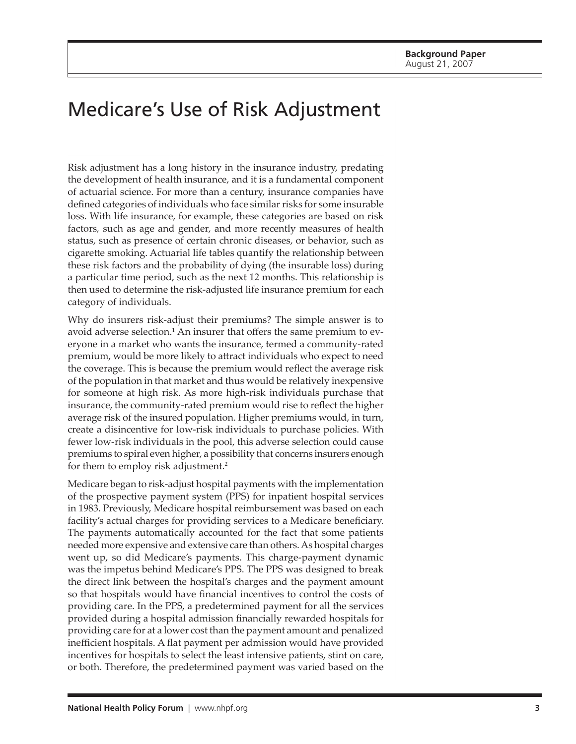# <span id="page-2-0"></span>Medicare's Use of Risk Adjustment

Risk adjustment has a long history in the insurance industry, predating the development of health insurance, and it is a fundamental component of actuarial science. For more than a century, insurance companies have defined categories of individuals who face similar risks for some insurable loss. With life insurance, for example, these categories are based on risk factors*,* such as age and gender, and more recently measures of health status, such as presence of certain chronic diseases, or behavior, such as cigarette smoking. Actuarial life tables quantify the relationship between these risk factors and the probability of dying (the insurable loss) during a particular time period, such as the next 12 months. This relationship is then used to determine the risk-adjusted life insurance premium for each category of individuals.

Why do insurers risk-adjust their premiums? The simple answer is to avoid adverse selection.<sup>1</sup> An insurer that offers the same premium to everyone in a market who wants the insurance, termed a community-rated premium, would be more likely to attract individuals who expect to need the coverage. This is because the premium would reflect the average risk of the population in that market and thus would be relatively inexpensive for someone at high risk. As more high-risk individuals purchase that insurance, the community-rated premium would rise to reflect the higher average risk of the insured population. Higher premiums would, in turn, create a disincentive for low-risk individuals to purchase policies. With fewer low-risk individuals in the pool, this adverse selection could cause premiums to spiral even higher, a possibility that concerns insurers enough for them to employ risk adjustment.<sup>2</sup>

Medicare began to risk-adjust hospital payments with the implementation of the prospective payment system (PPS) for inpatient hospital services in 1983. Previously, Medicare hospital reimbursement was based on each facility's actual charges for providing services to a Medicare beneficiary. The payments automatically accounted for the fact that some patients needed more expensive and extensive care than others. As hospital charges went up, so did Medicare's payments. This charge-payment dynamic was the impetus behind Medicare's PPS. The PPS was designed to break the direct link between the hospital's charges and the payment amount so that hospitals would have financial incentives to control the costs of providing care. In the PPS, a predetermined payment for all the services provided during a hospital admission financially rewarded hospitals for providing care for at a lower cost than the payment amount and penalized inefficient hospitals. A flat payment per admission would have provided incentives for hospitals to select the least intensive patients, stint on care, or both. Therefore, the predetermined payment was varied based on the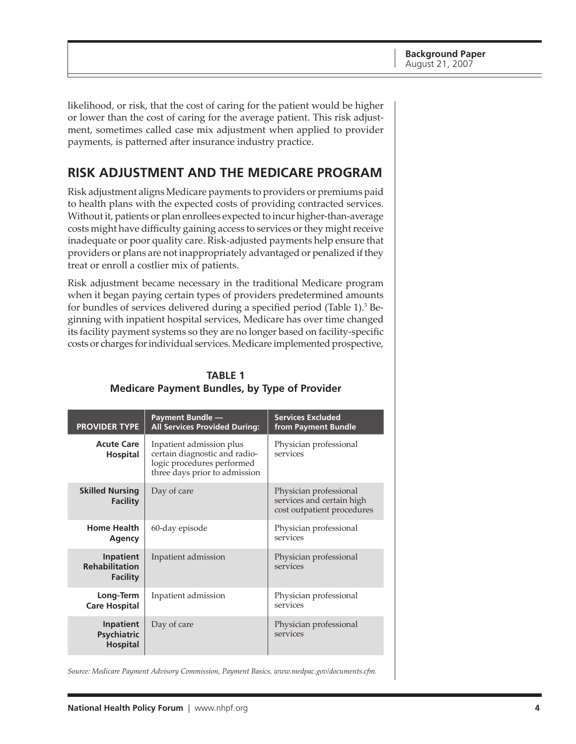<span id="page-3-0"></span>likelihood, or risk, that the cost of caring for the patient would be higher or lower than the cost of caring for the average patient. This risk adjustment, sometimes called case mix adjustment when applied to provider payments, is patterned after insurance industry practice.

## **Risk Adjustment and the Medicare Program**

Risk adjustment aligns Medicare payments to providers or premiums paid to health plans with the expected costs of providing contracted services. Without it, patients or plan enrollees expected to incur higher-than-average costs might have difficulty gaining access to services or they might receive inadequate or poor quality care. Risk-adjusted payments help ensure that providers or plans are not inappropriately advantaged or penalized if they treat or enroll a costlier mix of patients.

Risk adjustment became necessary in the traditional Medicare program when it began paying certain types of providers predetermined amounts for bundles of services delivered during a specified period (Table 1).<sup>3</sup> Beginning with inpatient hospital services, Medicare has over time changed its facility payment systems so they are no longer based on facility-specific costs or charges for individual services. Medicare implemented prospective,

| <b>PROVIDER TYPE</b>                                                     | <b>Payment Bundle —</b><br><b>All Services Provided During:</b>                                                          | <b>Services Excluded</b><br>from Payment Bundle                                   |
|--------------------------------------------------------------------------|--------------------------------------------------------------------------------------------------------------------------|-----------------------------------------------------------------------------------|
| <b>Acute Care</b><br><b>Hospital</b>                                     | Inpatient admission plus<br>certain diagnostic and radio-<br>logic procedures performed<br>three days prior to admission | Physician professional<br>services                                                |
| <b>Skilled Nursing</b><br>Day of care<br>Facility                        |                                                                                                                          | Physician professional<br>services and certain high<br>cost outpatient procedures |
| <b>Home Health</b><br>Agency                                             | 60-day episode                                                                                                           | Physician professional<br>services                                                |
| <b>Inpatient</b><br><b>Rehabilitation</b><br>Facility                    | Inpatient admission                                                                                                      | Physician professional<br>services                                                |
| Long-Term<br>Inpatient admission<br><b>Care Hospital</b>                 |                                                                                                                          | Physician professional<br>services                                                |
| <b>Inpatient</b><br>Day of care<br><b>Psychiatric</b><br><b>Hospital</b> |                                                                                                                          | Physician professional<br>services                                                |

## **Table 1 Medicare Payment Bundles, by Type of Provider**

*Source: Medicare Payment Advisory Commission, Payment Basics, [www.medpac.gov/documents.cfm.](http://www.medpac.gov/documents.cfm)*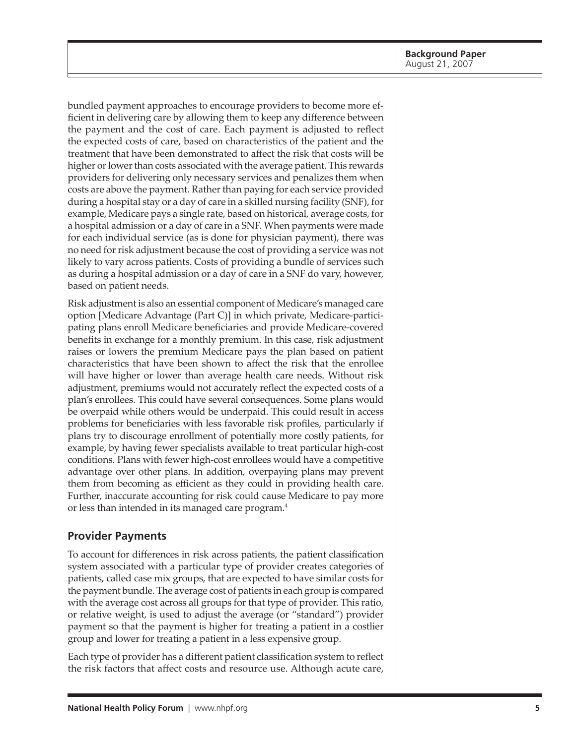<span id="page-4-0"></span>bundled payment approaches to encourage providers to become more efficient in delivering care by allowing them to keep any difference between the payment and the cost of care. Each payment is adjusted to reflect the expected costs of care, based on characteristics of the patient and the treatment that have been demonstrated to affect the risk that costs will be higher or lower than costs associated with the average patient. This rewards providers for delivering only necessary services and penalizes them when costs are above the payment. Rather than paying for each service provided during a hospital stay or a day of care in a skilled nursing facility (SNF), for example, Medicare pays a single rate, based on historical, average costs, for a hospital admission or a day of care in a SNF. When payments were made for each individual service (as is done for physician payment), there was no need for risk adjustment because the cost of providing a service was not likely to vary across patients. Costs of providing a bundle of services such as during a hospital admission or a day of care in a SNF do vary, however, based on patient needs.

Risk adjustment is also an essential component of Medicare's managed care option [Medicare Advantage (Part C)] in which private, Medicare-participating plans enroll Medicare beneficiaries and provide Medicare-covered benefits in exchange for a monthly premium. In this case, risk adjustment raises or lowers the premium Medicare pays the plan based on patient characteristics that have been shown to affect the risk that the enrollee will have higher or lower than average health care needs. Without risk adjustment, premiums would not accurately reflect the expected costs of a plan's enrollees. This could have several consequences. Some plans would be overpaid while others would be underpaid. This could result in access problems for beneficiaries with less favorable risk profiles, particularly if plans try to discourage enrollment of potentially more costly patients, for example, by having fewer specialists available to treat particular high-cost conditions. Plans with fewer high-cost enrollees would have a competitive advantage over other plans. In addition, overpaying plans may prevent them from becoming as efficient as they could in providing health care. Further, inaccurate accounting for risk could cause Medicare to pay more or less than intended in its managed care program.4

### **Provider Payments**

To account for differences in risk across patients, the patient classification system associated with a particular type of provider creates categories of patients, called case mix groups, that are expected to have similar costs for the payment bundle. The average cost of patients in each group is compared with the average cost across all groups for that type of provider. This ratio, or relative weight, is used to adjust the average (or "standard") provider payment so that the payment is higher for treating a patient in a costlier group and lower for treating a patient in a less expensive group.

Each type of provider has a different patient classification system to reflect the risk factors that affect costs and resource use. Although acute care,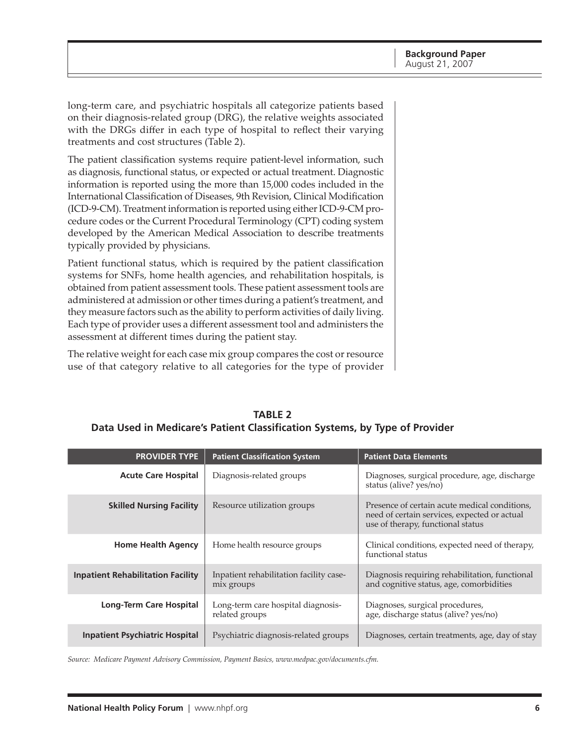<span id="page-5-0"></span>long-term care, and psychiatric hospitals all categorize patients based on their diagnosis-related group (DRG), the relative weights associated with the DRGs differ in each type of hospital to reflect their varying treatments and cost structures (Table 2).

The patient classification systems require patient-level information, such as diagnosis, functional status, or expected or actual treatment. Diagnostic information is reported using the more than 15,000 codes included in the International Classification of Diseases, 9th Revision, Clinical Modification (ICD-9-CM). Treatment information is reported using either ICD-9-CM procedure codes or the Current Procedural Terminology (CPT) coding system developed by the American Medical Association to describe treatments typically provided by physicians.

Patient functional status, which is required by the patient classification systems for SNFs, home health agencies, and rehabilitation hospitals, is obtained from patient assessment tools. These patient assessment tools are administered at admission or other times during a patient's treatment, and they measure factors such as the ability to perform activities of daily living. Each type of provider uses a different assessment tool and administers the assessment at different times during the patient stay.

The relative weight for each case mix group compares the cost or resource use of that category relative to all categories for the type of provider

| <b>PROVIDER TYPE</b>                                                                              | <b>Patient Classification System</b>                 | <b>Patient Data Elements</b>                                                                                                       |
|---------------------------------------------------------------------------------------------------|------------------------------------------------------|------------------------------------------------------------------------------------------------------------------------------------|
| <b>Acute Care Hospital</b>                                                                        | Diagnosis-related groups                             | Diagnoses, surgical procedure, age, discharge<br>status (alive? yes/no)                                                            |
| <b>Skilled Nursing Facility</b>                                                                   | Resource utilization groups                          | Presence of certain acute medical conditions,<br>need of certain services, expected or actual<br>use of therapy, functional status |
| <b>Home Health Agency</b>                                                                         | Home health resource groups                          | Clinical conditions, expected need of therapy,<br>functional status                                                                |
| Inpatient rehabilitation facility case-<br><b>Inpatient Rehabilitation Facility</b><br>mix groups |                                                      | Diagnosis requiring rehabilitation, functional<br>and cognitive status, age, comorbidities                                         |
| <b>Long-Term Care Hospital</b>                                                                    | Long-term care hospital diagnosis-<br>related groups | Diagnoses, surgical procedures,<br>age, discharge status (alive? yes/no)                                                           |
| <b>Inpatient Psychiatric Hospital</b><br>Psychiatric diagnosis-related groups                     |                                                      | Diagnoses, certain treatments, age, day of stay                                                                                    |

**Table 2 Data Used in Medicare's Patient Classification Systems, by Type of Provider** 

*Source: Medicare Payment Advisory Commission, Payment Basics, [www.medpac.gov/documents.cfm.](http://www.medpac.gov/documents.cfm)*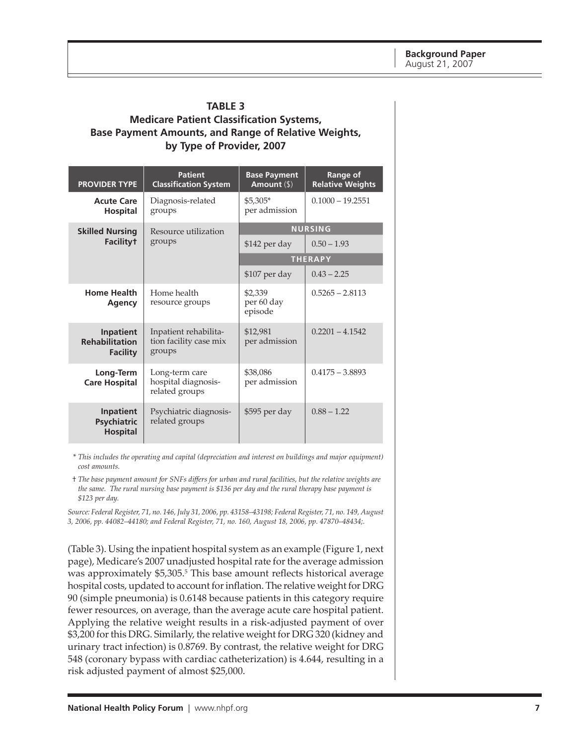#### <span id="page-6-0"></span>**Table 3 Medicare Patient Classification Systems, Base Payment Amounts, and Range of Relative Weights, by Type of Provider, 2007**

| <b>PROVIDER TYPE</b>                                         | <b>Patient</b><br><b>Classification System</b>            | <b>Base Payment</b><br>Amount $(\$)$ | Range of<br><b>Relative Weights</b> |  |
|--------------------------------------------------------------|-----------------------------------------------------------|--------------------------------------|-------------------------------------|--|
| <b>Acute Care</b><br><b>Hospital</b>                         | Diagnosis-related<br>groups                               | $$5.305*$<br>per admission           | $0.1000 - 19.2551$                  |  |
| <b>Skilled Nursing</b>                                       | Resource utilization                                      | <b>NURSING</b>                       |                                     |  |
| <b>Facilityt</b>                                             | groups                                                    | \$142 per day                        | $0.50 - 1.93$                       |  |
|                                                              |                                                           | <b>THERAPY</b>                       |                                     |  |
|                                                              |                                                           | \$107 per day                        | $0.43 - 2.25$                       |  |
| <b>Home Health</b><br>Agency                                 | Home health<br>resource groups                            | \$2,339<br>per 60 day<br>episode     | $0.5265 - 2.8113$                   |  |
| <b>Inpatient</b><br><b>Rehabilitation</b><br><b>Facility</b> | Inpatient rehabilita-<br>tion facility case mix<br>groups | \$12,981<br>per admission            | $0.2201 - 4.1542$                   |  |
| Long-Term<br><b>Care Hospital</b>                            | Long-term care<br>hospital diagnosis-<br>related groups   |                                      | $0.4175 - 3.8893$                   |  |
| Inpatient<br><b>Psychiatric</b><br><b>Hospital</b>           | Psychiatric diagnosis-<br>related groups                  |                                      | $0.88 - 1.22$                       |  |

\* *This includes the operating and capital (depreciation and interest on buildings and major equipment) cost amounts.*

† *The base payment amount for SNFs differs for urban and rural facilities, but the relative weights are the same. The rural nursing base payment is \$136 per day and the rural therapy base payment is \$123 per day.*

*Source: Federal Register, 71, no. 146, July 31, 2006, pp. 43158–43198; Federal Register, 71, no. 149, August 3, 2006, pp. 44082–44180; and Federal Register, 71, no. 160, August 18, 2006, pp. 47870–48434;.*

(Table 3). Using the inpatient hospital system as an example (Figure 1, next page), Medicare's 2007 unadjusted hospital rate for the average admission was approximately \$5,305.<sup>5</sup> This base amount reflects historical average hospital costs, updated to account for inflation. The relative weight for DRG 90 (simple pneumonia) is 0.6148 because patients in this category require fewer resources, on average, than the average acute care hospital patient. Applying the relative weight results in a risk-adjusted payment of over \$3,200 for this DRG. Similarly, the relative weight for DRG 320 (kidney and urinary tract infection) is 0.8769. By contrast, the relative weight for DRG 548 (coronary bypass with cardiac catheterization) is 4.644, resulting in a risk adjusted payment of almost \$25,000.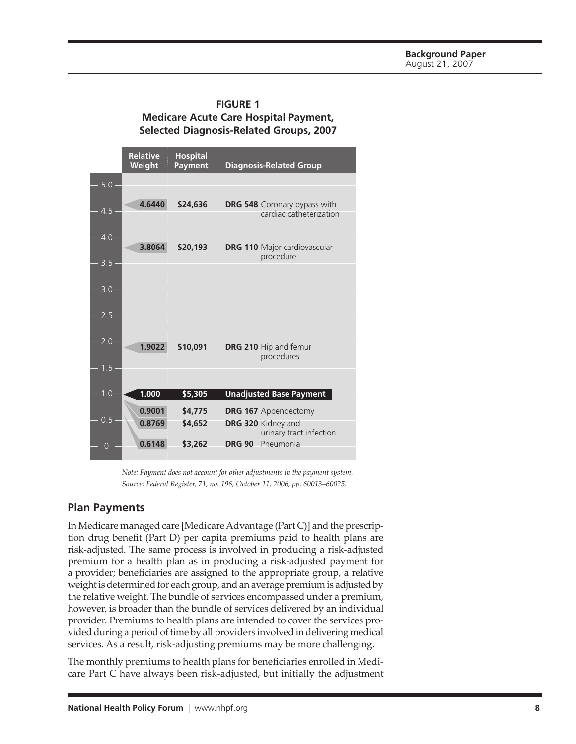#### <span id="page-7-0"></span>**Figure 1 Medicare Acute Care Hospital Payment, Selected Diagnosis-Related Groups, 2007**

|                  | <b>Relative</b><br>Weight | <b>Hospital</b><br><b>Payment</b> | <b>Diagnosis-Related Group</b>                          |
|------------------|---------------------------|-----------------------------------|---------------------------------------------------------|
| 5.0              |                           |                                   |                                                         |
| 4.5 <sub>1</sub> | 4.6440                    | \$24,636                          | DRG 548 Coronary bypass with<br>cardiac catheterization |
| 4.0              |                           |                                   |                                                         |
| 3.5              | 3.8064                    | \$20,193                          | <b>DRG 110 Major cardiovascular</b><br>procedure        |
|                  |                           |                                   |                                                         |
| 3.0              |                           |                                   |                                                         |
| 2.5              |                           |                                   |                                                         |
| 2.0              | 1.9022                    | \$10,091                          | DRG 210 Hip and femur                                   |
|                  |                           |                                   | procedures                                              |
| 1.5 <sub>1</sub> |                           |                                   |                                                         |
| 1.0              | 1.000                     | \$5,305                           | <b>Unadjusted Base Payment</b>                          |
|                  | 0.9001                    | \$4,775                           | <b>DRG 167</b> Appendectomy                             |
| 0.5              | 0.8769                    | \$4,652                           | DRG 320 Kidney and<br>urinary tract infection           |
| $\Omega$         | 0.6148                    | \$3,262                           | <b>DRG 90</b><br>Pneumonia                              |

*Note: Payment does not account for other adjustments in the payment system. Source: Federal Register, 71, no. 196, October 11, 2006, pp. 60013–60025.*

#### **Plan Payments**

In Medicare managed care [Medicare Advantage (Part C)] and the prescription drug benefit (Part D) per capita premiums paid to health plans are risk-adjusted. The same process is involved in producing a risk-adjusted premium for a health plan as in producing a risk-adjusted payment for a provider; beneficiaries are assigned to the appropriate group, a relative weight is determined for each group, and an average premium is adjusted by the relative weight. The bundle of services encompassed under a premium, however, is broader than the bundle of services delivered by an individual provider. Premiums to health plans are intended to cover the services provided during a period of time by all providers involved in delivering medical services. As a result, risk-adjusting premiums may be more challenging.

The monthly premiums to health plans for beneficiaries enrolled in Medicare Part C have always been risk-adjusted, but initially the adjustment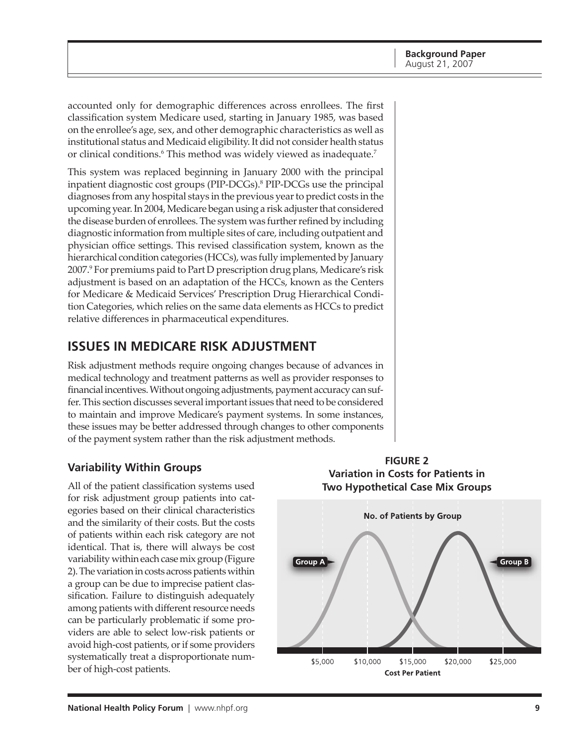<span id="page-8-0"></span>accounted only for demographic differences across enrollees. The first classification system Medicare used, starting in January 1985, was based on the enrollee's age, sex, and other demographic characteristics as well as institutional status and Medicaid eligibility. It did not consider health status or clinical conditions.<sup>6</sup> This method was widely viewed as inadequate.<sup>7</sup>

This system was replaced beginning in January 2000 with the principal inpatient diagnostic cost groups (PIP-DCGs).<sup>8</sup> PIP-DCGs use the principal diagnoses from any hospital stays in the previous year to predict costs in the upcoming year. In 2004, Medicare began using a risk adjuster that considered the disease burden of enrollees. The system was further refined by including diagnostic information from multiple sites of care, including outpatient and physician office settings. This revised classification system, known as the hierarchical condition categories (HCCs), was fully implemented by January 2007.<sup>9</sup> For premiums paid to Part D prescription drug plans, Medicare's risk adjustment is based on an adaptation of the HCCs, known as the Centers for Medicare & Medicaid Services' Prescription Drug Hierarchical Condition Categories, which relies on the same data elements as HCCs to predict relative differences in pharmaceutical expenditures.

# **iSSueS in meDicare riSk aDJuStment**

Risk adjustment methods require ongoing changes because of advances in medical technology and treatment patterns as well as provider responses to financial incentives. Without ongoing adjustments, payment accuracy can suffer. This section discusses several important issues that need to be considered to maintain and improve Medicare's payment systems. In some instances, these issues may be better addressed through changes to other components of the payment system rather than the risk adjustment methods.

## **Variability Within groups**

All of the patient classification systems used for risk adjustment group patients into categories based on their clinical characteristics and the similarity of their costs. But the costs of patients within each risk category are not identical. That is, there will always be cost variability within each case mix group (Figure 2). The variation in costs across patients within a group can be due to imprecise patient classification. Failure to distinguish adequately among patients with different resource needs can be particularly problematic if some providers are able to select low-risk patients or avoid high-cost patients, or if some providers systematically treat a disproportionate number of high-cost patients.



**figure Variation in costs for Patients in two hypothetical case mix groups**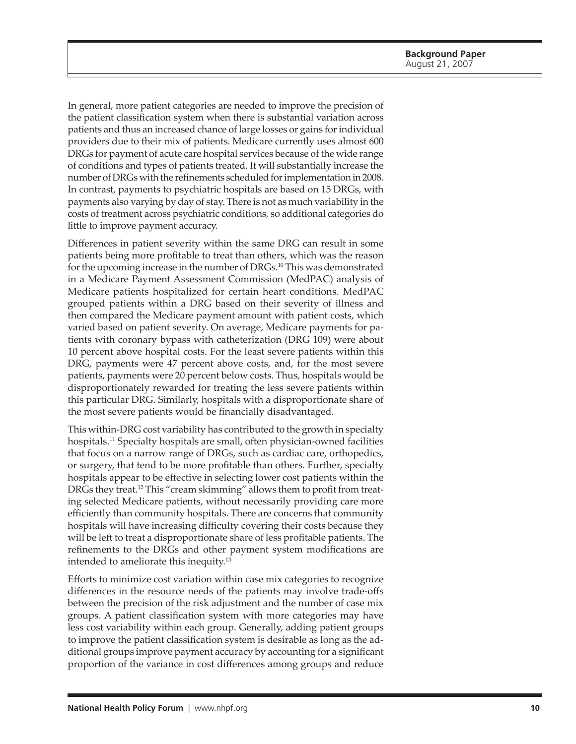In general, more patient categories are needed to improve the precision of the patient classification system when there is substantial variation across patients and thus an increased chance of large losses or gains for individual providers due to their mix of patients. Medicare currently uses almost 600 DRGs for payment of acute care hospital services because of the wide range of conditions and types of patients treated. It will substantially increase the number of DRGs with the refinements scheduled for implementation in 2008. In contrast, payments to psychiatric hospitals are based on 15 DRGs, with payments also varying by day of stay. There is not as much variability in the costs of treatment across psychiatric conditions, so additional categories do little to improve payment accuracy.

Differences in patient severity within the same DRG can result in some patients being more profitable to treat than others, which was the reason for the upcoming increase in the number of DRGs.<sup>10</sup> This was demonstrated in a Medicare Payment Assessment Commission (MedPAC) analysis of Medicare patients hospitalized for certain heart conditions. MedPAC grouped patients within a DRG based on their severity of illness and then compared the Medicare payment amount with patient costs, which varied based on patient severity. On average, Medicare payments for patients with coronary bypass with catheterization (DRG 109) were about 10 percent above hospital costs. For the least severe patients within this DRG, payments were 47 percent above costs, and, for the most severe patients, payments were 20 percent below costs. Thus, hospitals would be disproportionately rewarded for treating the less severe patients within this particular DRG. Similarly, hospitals with a disproportionate share of the most severe patients would be financially disadvantaged.

This within-DRG cost variability has contributed to the growth in specialty hospitals.11 Specialty hospitals are small, often physician-owned facilities that focus on a narrow range of DRGs, such as cardiac care, orthopedics, or surgery, that tend to be more profitable than others. Further, specialty hospitals appear to be effective in selecting lower cost patients within the DRGs they treat.12 This "cream skimming" allows them to profit from treating selected Medicare patients, without necessarily providing care more efficiently than community hospitals. There are concerns that community hospitals will have increasing difficulty covering their costs because they will be left to treat a disproportionate share of less profitable patients. The refinements to the DRGs and other payment system modifications are intended to ameliorate this inequity.<sup>13</sup>

Efforts to minimize cost variation within case mix categories to recognize differences in the resource needs of the patients may involve trade-offs between the precision of the risk adjustment and the number of case mix groups. A patient classification system with more categories may have less cost variability within each group. Generally, adding patient groups to improve the patient classification system is desirable as long as the additional groups improve payment accuracy by accounting for a significant proportion of the variance in cost differences among groups and reduce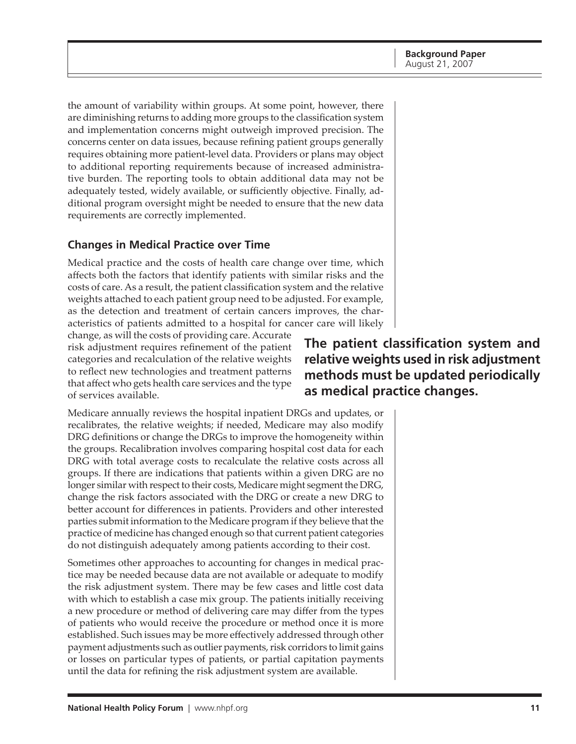<span id="page-10-0"></span>the amount of variability within groups. At some point, however, there are diminishing returns to adding more groups to the classification system and implementation concerns might outweigh improved precision. The concerns center on data issues, because refining patient groups generally requires obtaining more patient-level data. Providers or plans may object to additional reporting requirements because of increased administrative burden. The reporting tools to obtain additional data may not be adequately tested, widely available, or sufficiently objective. Finally, additional program oversight might be needed to ensure that the new data requirements are correctly implemented.

## **Changes in Medical Practice over Time**

Medical practice and the costs of health care change over time, which affects both the factors that identify patients with similar risks and the costs of care. As a result, the patient classification system and the relative weights attached to each patient group need to be adjusted. For example, as the detection and treatment of certain cancers improves, the characteristics of patients admitted to a hospital for cancer care will likely

change, as will the costs of providing care. Accurate risk adjustment requires refinement of the patient categories and recalculation of the relative weights to reflect new technologies and treatment patterns that affect who gets health care services and the type of services available.

Medicare annually reviews the hospital inpatient DRGs and updates, or recalibrates, the relative weights; if needed, Medicare may also modify DRG definitions or change the DRGs to improve the homogeneity within the groups. Recalibration involves comparing hospital cost data for each DRG with total average costs to recalculate the relative costs across all groups. If there are indications that patients within a given DRG are no longer similar with respect to their costs, Medicare might segment the DRG, change the risk factors associated with the DRG or create a new DRG to better account for differences in patients. Providers and other interested parties submit information to the Medicare program if they believe that the practice of medicine has changed enough so that current patient categories do not distinguish adequately among patients according to their cost.

Sometimes other approaches to accounting for changes in medical practice may be needed because data are not available or adequate to modify the risk adjustment system. There may be few cases and little cost data with which to establish a case mix group. The patients initially receiving a new procedure or method of delivering care may differ from the types of patients who would receive the procedure or method once it is more established. Such issues may be more effectively addressed through other payment adjustments such as outlier payments, risk corridors to limit gains or losses on particular types of patients, or partial capitation payments until the data for refining the risk adjustment system are available.

**The patient classification system and relative weights used in risk adjustment methods must be updated periodically as medical practice changes.**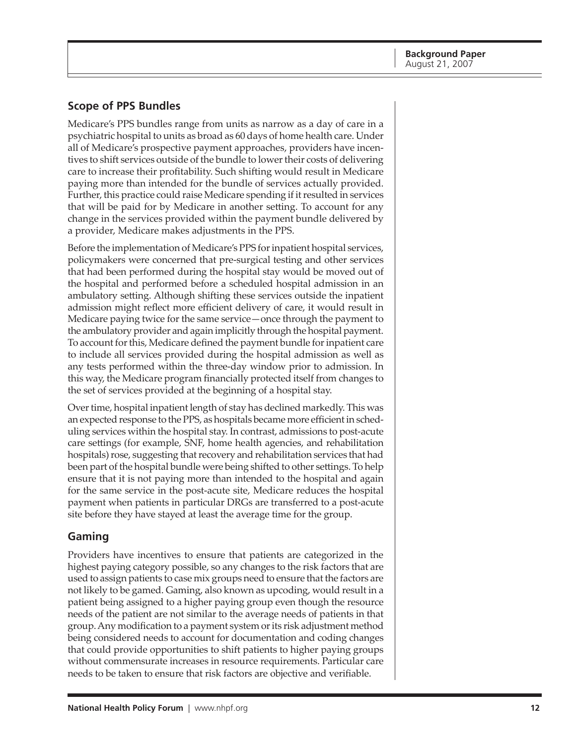## <span id="page-11-0"></span>**Scope of PPS Bundles**

Medicare's PPS bundles range from units as narrow as a day of care in a psychiatric hospital to units as broad as 60 days of home health care. Under all of Medicare's prospective payment approaches, providers have incentives to shift services outside of the bundle to lower their costs of delivering care to increase their profitability. Such shifting would result in Medicare paying more than intended for the bundle of services actually provided. Further, this practice could raise Medicare spending if it resulted in services that will be paid for by Medicare in another setting. To account for any change in the services provided within the payment bundle delivered by a provider, Medicare makes adjustments in the PPS.

Before the implementation of Medicare's PPS for inpatient hospital services, policymakers were concerned that pre-surgical testing and other services that had been performed during the hospital stay would be moved out of the hospital and performed before a scheduled hospital admission in an ambulatory setting. Although shifting these services outside the inpatient admission might reflect more efficient delivery of care, it would result in Medicare paying twice for the same service—once through the payment to the ambulatory provider and again implicitly through the hospital payment. To account for this, Medicare defined the payment bundle for inpatient care to include all services provided during the hospital admission as well as any tests performed within the three-day window prior to admission. In this way, the Medicare program financially protected itself from changes to the set of services provided at the beginning of a hospital stay.

Over time, hospital inpatient length of stay has declined markedly. This was an expected response to the PPS, as hospitals became more efficient in scheduling services within the hospital stay. In contrast, admissions to post-acute care settings (for example, SNF, home health agencies, and rehabilitation hospitals) rose, suggesting that recovery and rehabilitation services that had been part of the hospital bundle were being shifted to other settings. To help ensure that it is not paying more than intended to the hospital and again for the same service in the post-acute site, Medicare reduces the hospital payment when patients in particular DRGs are transferred to a post-acute site before they have stayed at least the average time for the group.

### **Gaming**

Providers have incentives to ensure that patients are categorized in the highest paying category possible, so any changes to the risk factors that are used to assign patients to case mix groups need to ensure that the factors are not likely to be gamed. Gaming, also known as upcoding, would result in a patient being assigned to a higher paying group even though the resource needs of the patient are not similar to the average needs of patients in that group. Any modification to a payment system or its risk adjustment method being considered needs to account for documentation and coding changes that could provide opportunities to shift patients to higher paying groups without commensurate increases in resource requirements. Particular care needs to be taken to ensure that risk factors are objective and verifiable.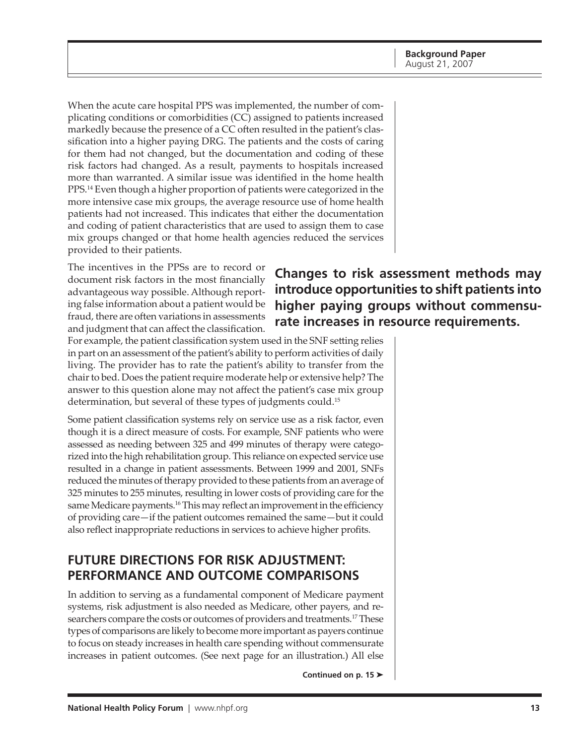<span id="page-12-0"></span>When the acute care hospital PPS was implemented, the number of complicating conditions or comorbidities (CC) assigned to patients increased markedly because the presence of a CC often resulted in the patient's classification into a higher paying DRG. The patients and the costs of caring for them had not changed, but the documentation and coding of these risk factors had changed. As a result, payments to hospitals increased more than warranted. A similar issue was identified in the home health PPS.<sup>14</sup> Even though a higher proportion of patients were categorized in the more intensive case mix groups, the average resource use of home health patients had not increased. This indicates that either the documentation and coding of patient characteristics that are used to assign them to case mix groups changed or that home health agencies reduced the services provided to their patients.

The incentives in the PPSs are to record or document risk factors in the most financially advantageous way possible. Although reporting false information about a patient would be fraud, there are often variations in assessments and judgment that can affect the classification.

# **Changes to risk assessment methods may introduce opportunities to shift patients into higher paying groups without commensurate increases in resource requirements.**

For example, the patient classification system used in the SNF setting relies in part on an assessment of the patient's ability to perform activities of daily living. The provider has to rate the patient's ability to transfer from the chair to bed. Does the patient require moderate help or extensive help? The answer to this question alone may not affect the patient's case mix group determination, but several of these types of judgments could.<sup>15</sup>

Some patient classification systems rely on service use as a risk factor, even though it is a direct measure of costs. For example, SNF patients who were assessed as needing between 325 and 499 minutes of therapy were categorized into the high rehabilitation group. This reliance on expected service use resulted in a change in patient assessments. Between 1999 and 2001, SNFs reduced the minutes of therapy provided to these patients from an average of 325 minutes to 255 minutes, resulting in lower costs of providing care for the same Medicare payments.<sup>16</sup> This may reflect an improvement in the efficiency of providing care—if the patient outcomes remained the same—but it could also reflect inappropriate reductions in services to achieve higher profits.

## **Future Directions for Risk Adjustment: Performance and Outcome Comparisons**

In addition to serving as a fundamental component of Medicare payment systems, risk adjustment is also needed as Medicare, other payers, and researchers compare the costs or outcomes of providers and treatments.<sup>17</sup> These types of comparisons are likely to become more important as payers continue to focus on steady increases in health care spending without commensurate increases in patient outcomes. (See next page for an illustration.) All else

**Continued on p. 15**  $\blacktriangleright$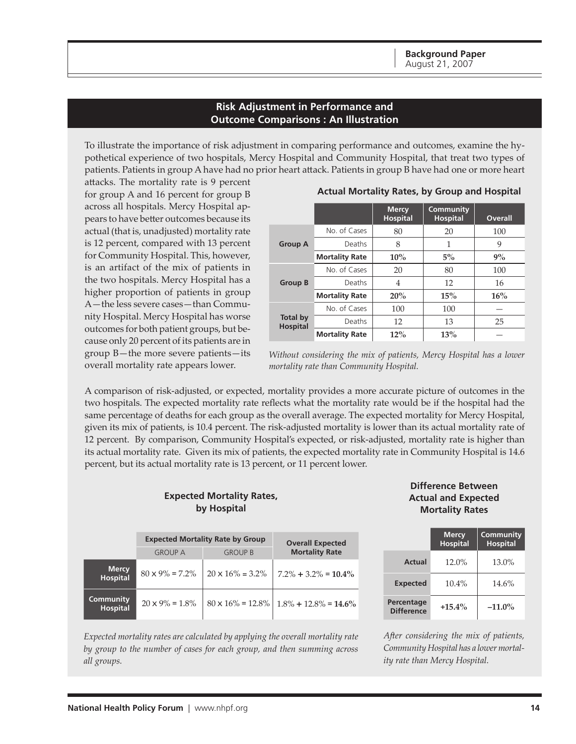#### **Risk Adjustment in Performance and Outcome Comparisons : An Illustration**

<span id="page-13-0"></span>To illustrate the importance of risk adjustment in comparing performance and outcomes, examine the hypothetical experience of two hospitals, Mercy Hospital and Community Hospital, that treat two types of patients. Patients in group A have had no prior heart attack. Patients in group B have had one or more heart

attacks. The mortality rate is 9 percent for group A and 16 percent for group B across all hospitals. Mercy Hospital appears to have better outcomes because its actual (that is, unadjusted) mortality rate is 12 percent, compared with 13 percent for Community Hospital. This, however, is an artifact of the mix of patients in the two hospitals. Mercy Hospital has a higher proportion of patients in group A—the less severe cases—than Community Hospital. Mercy Hospital has worse outcomes for both patient groups, but because only 20 percent of its patients are in group B—the more severe patients—its overall mortality rate appears lower.

|                                    |                       | <b>Mercy</b><br><b>Hospital</b> | Community<br><b>Hospital</b> | <b>Overall</b> |
|------------------------------------|-----------------------|---------------------------------|------------------------------|----------------|
|                                    | No. of Cases          | 80                              | 20                           | 100            |
| <b>Group A</b>                     | Deaths                | 8                               | 1                            | 9              |
|                                    | <b>Mortality Rate</b> | $10\%$                          | $5\%$                        | 9%             |
|                                    | No. of Cases          | 20                              | 80                           | 100            |
| <b>Group B</b>                     | Deaths                | 4                               | 12                           | 16             |
|                                    | <b>Mortality Rate</b> | 20%                             | 15%                          | 16%            |
|                                    | No. of Cases          | 100                             | 100                          |                |
| <b>Total by</b><br><b>Hospital</b> | Deaths                | 12                              | 13                           | 25             |
|                                    | <b>Mortality Rate</b> | 12%                             | 13%                          |                |

 **Actual Mortality Rates, by Group and Hospital**

*Without considering the mix of patients, Mercy Hospital has a lower mortality rate than Community Hospital.*

A comparison of risk-adjusted, or expected, mortality provides a more accurate picture of outcomes in the two hospitals. The expected mortality rate reflects what the mortality rate would be if the hospital had the same percentage of deaths for each group as the overall average. The expected mortality for Mercy Hospital, given its mix of patients, is 10.4 percent. The risk-adjusted mortality is lower than its actual mortality rate of 12 percent. By comparison, Community Hospital's expected, or risk-adjusted, mortality rate is higher than its actual mortality rate. Given its mix of patients, the expected mortality rate in Community Hospital is 14.6 percent, but its actual mortality rate is 13 percent, or 11 percent lower.

#### **Expected Mortality Rates, by Hospital**

|                                 | <b>Expected Mortality Rate by Group</b> | <b>Overall Expected</b>  |                                                        |
|---------------------------------|-----------------------------------------|--------------------------|--------------------------------------------------------|
|                                 | <b>GROUP A</b>                          | <b>GROUP B</b>           | <b>Mortality Rate</b>                                  |
| <b>Mercy</b><br><b>Hospital</b> | $80 \times 9\% = 7.2\%$                 | $20 \times 16\% = 3.2\%$ | $7.2\% + 3.2\% = 10.4\%$                               |
| Community<br><b>Hospital</b>    | $20 \times 9\% = 1.8\%$                 |                          | $80 \times 16\% = 12.8\% \mid 1.8\% + 12.8\% = 14.6\%$ |

#### **Difference Between Actual and Expected Mortality Rates**

|                                 | <b>Mercy</b><br><b>Hospital</b> | <b>Community</b><br><b>Hospital</b> |
|---------------------------------|---------------------------------|-------------------------------------|
| <b>Actual</b>                   | 12.0%                           | $13.0\%$                            |
| <b>Expected</b>                 | 10.4%                           | 14.6%                               |
| Percentage<br><b>Difference</b> | $+15.4\%$                       | $-11.0\%$                           |

*Expected mortality rates are calculated by applying the overall mortality rate by group to the number of cases for each group, and then summing across all groups.*

*After considering the mix of patients, Community Hospital has a lower mortality rate than Mercy Hospital.*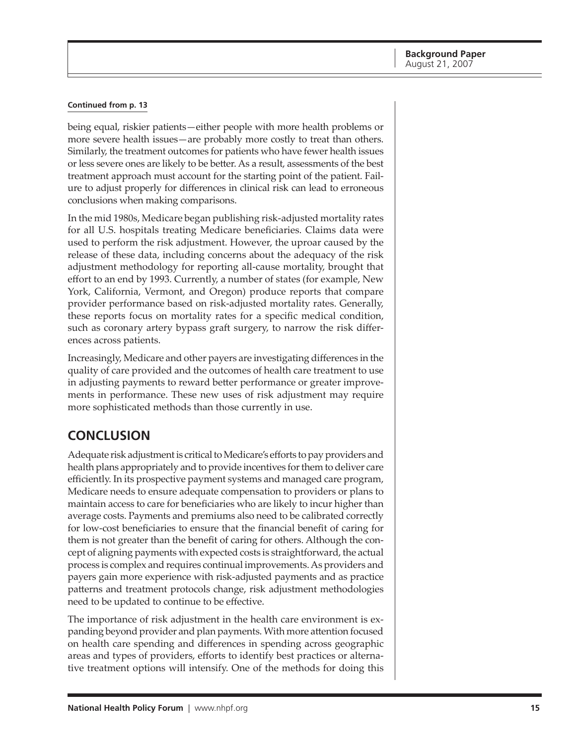#### <span id="page-14-0"></span>**Continued from p. 13**

being equal, riskier patients—either people with more health problems or more severe health issues—are probably more costly to treat than others. Similarly, the treatment outcomes for patients who have fewer health issues or less severe ones are likely to be better. As a result, assessments of the best treatment approach must account for the starting point of the patient. Failure to adjust properly for differences in clinical risk can lead to erroneous conclusions when making comparisons.

In the mid 1980s, Medicare began publishing risk-adjusted mortality rates for all U.S. hospitals treating Medicare beneficiaries. Claims data were used to perform the risk adjustment. However, the uproar caused by the release of these data, including concerns about the adequacy of the risk adjustment methodology for reporting all-cause mortality, brought that effort to an end by 1993. Currently, a number of states (for example, New York, California, Vermont, and Oregon) produce reports that compare provider performance based on risk-adjusted mortality rates. Generally, these reports focus on mortality rates for a specific medical condition, such as coronary artery bypass graft surgery, to narrow the risk differences across patients.

Increasingly, Medicare and other payers are investigating differences in the quality of care provided and the outcomes of health care treatment to use in adjusting payments to reward better performance or greater improvements in performance. These new uses of risk adjustment may require more sophisticated methods than those currently in use.

## **Conclusion**

Adequate risk adjustment is critical to Medicare's efforts to pay providers and health plans appropriately and to provide incentives for them to deliver care efficiently. In its prospective payment systems and managed care program, Medicare needs to ensure adequate compensation to providers or plans to maintain access to care for beneficiaries who are likely to incur higher than average costs. Payments and premiums also need to be calibrated correctly for low-cost beneficiaries to ensure that the financial benefit of caring for them is not greater than the benefit of caring for others. Although the concept of aligning payments with expected costs is straightforward, the actual process is complex and requires continual improvements. As providers and payers gain more experience with risk-adjusted payments and as practice patterns and treatment protocols change, risk adjustment methodologies need to be updated to continue to be effective.

The importance of risk adjustment in the health care environment is expanding beyond provider and plan payments. With more attention focused on health care spending and differences in spending across geographic areas and types of providers, efforts to identify best practices or alternative treatment options will intensify. One of the methods for doing this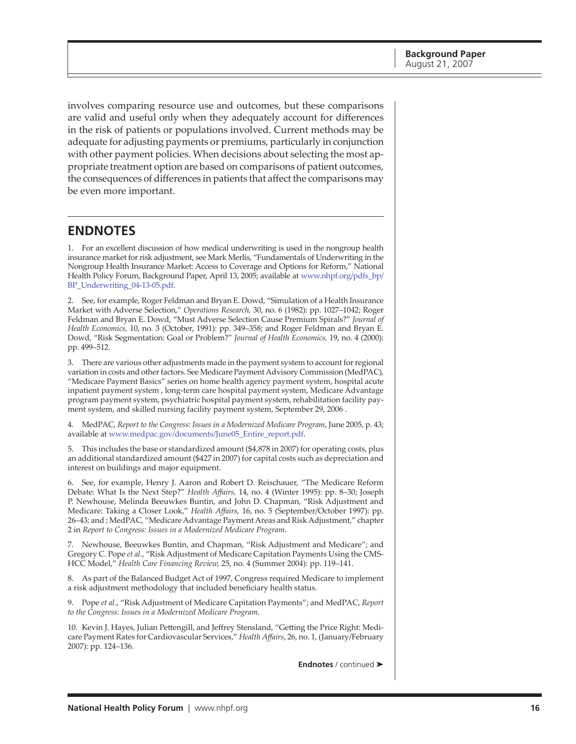<span id="page-15-0"></span>involves comparing resource use and outcomes, but these comparisons are valid and useful only when they adequately account for differences in the risk of patients or populations involved. Current methods may be adequate for adjusting payments or premiums, particularly in conjunction with other payment policies. When decisions about selecting the most appropriate treatment option are based on comparisons of patient outcomes, the consequences of differences in patients that affect the comparisons may be even more important.

## **ENDNOTES**

1. For an excellent discussion of how medical underwriting is used in the nongroup health insurance market for risk adjustment, see Mark Merlis, "Fundamentals of Underwriting in the Nongroup Health Insurance Market: Access to Coverage and Options for Reform," National [Health Policy Forum, Background Paper, April 13, 2005; available at www.nhpf.org/pdfs\\_bp/](http://www.nhpf.org/pdfs_bp/BP_Underwriting_04-13-05.pdf) BP\_Underwriting\_04-13-05.pdf.

2. See, for example, Roger Feldman and Bryan E. Dowd, "Simulation of a Health Insurance Market with Adverse Selection," *Operations Research,* 30, no. 6 (1982): pp. 1027–1042; Roger Feldman and Bryan E. Dowd, "Must Adverse Selection Cause Premium Spirals?" *Journal of Health Economics,* 10, no. 3 (October, 1991): pp. 349–358; and Roger Feldman and Bryan E. Dowd, "Risk Segmentation: Goal or Problem?" *Journal of Health Economics,* 19, no. 4 (2000): pp. 499–512.

3. There are various other adjustments made in the payment system to account for regional variation in costs and other factors. See Medicare Payment Advisory Commission (MedPAC), "Medicare Payment Basics" series on home health agency payment system, hospital acute inpatient payment system , long-term care hospital payment system, Medicare Advantage program payment system, psychiatric hospital payment system, rehabilitation facility payment system, and skilled nursing facility payment system, September 29, 2006 .

4. MedPAC, *Report to the Congress: Issues in a Modernized Medicare Program*, June 2005, p. 43; available at [www.medpac.gov/documents/June05\\_Entire\\_report.pdf](http://www.medpac.gov/documents/June05_Entire_report.pdf).

5. This includes the base or standardized amount (\$4,878 in 2007) for operating costs, plus an additional standardized amount (\$427 in 2007) for capital costs such as depreciation and interest on buildings and major equipment.

6. See, for example, Henry J. Aaron and Robert D. Reischauer, "The Medicare Reform Debate: What Is the Next Step?" *Health Affairs,* 14, no. 4 (Winter 1995): pp. 8–30; Joseph P. Newhouse, Melinda Beeuwkes Buntin, and John D. Chapman, "Risk Adjustment and Medicare: Taking a Closer Look," *Health Affairs,* 16, no. 5 (September/October 1997): pp. 26–43; and ; MedPAC, "Medicare Advantage Payment Areas and Risk Adjustment," chapter 2 in *Report to Congress: Issues in a Modernized Medicare Program*.

7. Newhouse, Beeuwkes Buntin, and Chapman, "Risk Adjustment and Medicare"; and Gregory C. Pope *et al.*, "Risk Adjustment of Medicare Capitation Payments Using the CMS-HCC Model," *Health Care Financing Review,* 25, no. 4 (Summer 2004): pp. 119–141.

8. As part of the Balanced Budget Act of 1997, Congress required Medicare to implement a risk adjustment methodology that included beneficiary health status.

9. Pope *et al.*, "Risk Adjustment of Medicare Capitation Payments"; and MedPAC, *Report to the Congress: Issues in a Modernized Medicare Program*.

10. Kevin J. Hayes, Julian Pettengill, and Jeffrey Stensland, "Getting the Price Right: Medicare Payment Rates for Cardiovascular Services," *Health Affairs*, 26, no. 1, (January/February 2007): pp. 124–136.

**Endnotes / continued >**